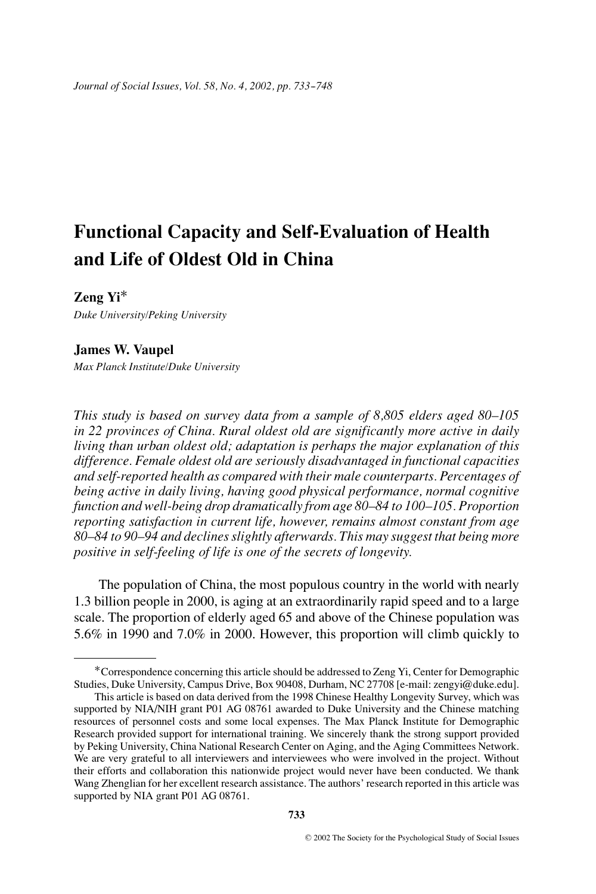# **Functional Capacity and Self-Evaluation of Health and Life of Oldest Old in China**

# **Zeng Yi**∗

*Duke University/Peking University*

## **James W. Vaupel**

*Max Planck Institute/Duke University*

*This study is based on survey data from a sample of 8,805 elders aged 80–105 in 22 provinces of China. Rural oldest old are significantly more active in daily living than urban oldest old; adaptation is perhaps the major explanation of this difference. Female oldest old are seriously disadvantaged in functional capacities and self-reported health as compared with their male counterparts. Percentages of being active in daily living, having good physical performance, normal cognitive function and well-being drop dramatically from age 80–84 to 100–105. Proportion reporting satisfaction in current life, however, remains almost constant from age 80–84 to 90–94 and declines slightly afterwards. This may suggest that being more positive in self-feeling of life is one of the secrets of longevity.*

The population of China, the most populous country in the world with nearly 1.3 billion people in 2000, is aging at an extraordinarily rapid speed and to a large scale. The proportion of elderly aged 65 and above of the Chinese population was 5.6% in 1990 and 7.0% in 2000. However, this proportion will climb quickly to

<sup>∗</sup>Correspondence concerning this article should be addressed to Zeng Yi, Center for Demographic Studies, Duke University, Campus Drive, Box 90408, Durham, NC 27708 [e-mail: zengyi@duke.edu].

This article is based on data derived from the 1998 Chinese Healthy Longevity Survey, which was supported by NIA/NIH grant P01 AG 08761 awarded to Duke University and the Chinese matching resources of personnel costs and some local expenses. The Max Planck Institute for Demographic Research provided support for international training. We sincerely thank the strong support provided by Peking University, China National Research Center on Aging, and the Aging Committees Network. We are very grateful to all interviewers and interviewees who were involved in the project. Without their efforts and collaboration this nationwide project would never have been conducted. We thank Wang Zhenglian for her excellent research assistance. The authors' research reported in this article was supported by NIA grant P01 AG 08761.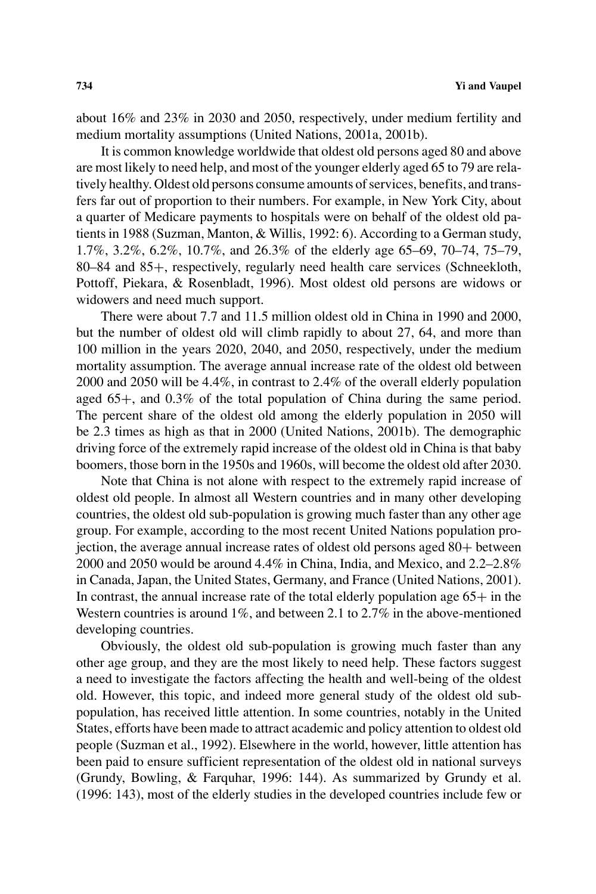about 16% and 23% in 2030 and 2050, respectively, under medium fertility and medium mortality assumptions (United Nations, 2001a, 2001b).

It is common knowledge worldwide that oldest old persons aged 80 and above are most likely to need help, and most of the younger elderly aged 65 to 79 are relatively healthy. Oldest old persons consume amounts of services, benefits, and transfers far out of proportion to their numbers. For example, in New York City, about a quarter of Medicare payments to hospitals were on behalf of the oldest old patients in 1988 (Suzman, Manton, & Willis, 1992: 6). According to a German study, 1.7%, 3.2%, 6.2%, 10.7%, and 26.3% of the elderly age 65–69, 70–74, 75–79, 80–84 and 85+, respectively, regularly need health care services (Schneekloth, Pottoff, Piekara, & Rosenbladt, 1996). Most oldest old persons are widows or widowers and need much support.

There were about 7.7 and 11.5 million oldest old in China in 1990 and 2000, but the number of oldest old will climb rapidly to about 27, 64, and more than 100 million in the years 2020, 2040, and 2050, respectively, under the medium mortality assumption. The average annual increase rate of the oldest old between 2000 and 2050 will be 4.4%, in contrast to 2.4% of the overall elderly population aged 65+, and 0.3% of the total population of China during the same period. The percent share of the oldest old among the elderly population in 2050 will be 2.3 times as high as that in 2000 (United Nations, 2001b). The demographic driving force of the extremely rapid increase of the oldest old in China is that baby boomers, those born in the 1950s and 1960s, will become the oldest old after 2030.

Note that China is not alone with respect to the extremely rapid increase of oldest old people. In almost all Western countries and in many other developing countries, the oldest old sub-population is growing much faster than any other age group. For example, according to the most recent United Nations population projection, the average annual increase rates of oldest old persons aged 80+ between 2000 and 2050 would be around 4.4% in China, India, and Mexico, and 2.2–2.8% in Canada, Japan, the United States, Germany, and France (United Nations, 2001). In contrast, the annual increase rate of the total elderly population age  $65+$  in the Western countries is around 1%, and between 2.1 to 2.7% in the above-mentioned developing countries.

Obviously, the oldest old sub-population is growing much faster than any other age group, and they are the most likely to need help. These factors suggest a need to investigate the factors affecting the health and well-being of the oldest old. However, this topic, and indeed more general study of the oldest old subpopulation, has received little attention. In some countries, notably in the United States, efforts have been made to attract academic and policy attention to oldest old people (Suzman et al., 1992). Elsewhere in the world, however, little attention has been paid to ensure sufficient representation of the oldest old in national surveys (Grundy, Bowling, & Farquhar, 1996: 144). As summarized by Grundy et al. (1996: 143), most of the elderly studies in the developed countries include few or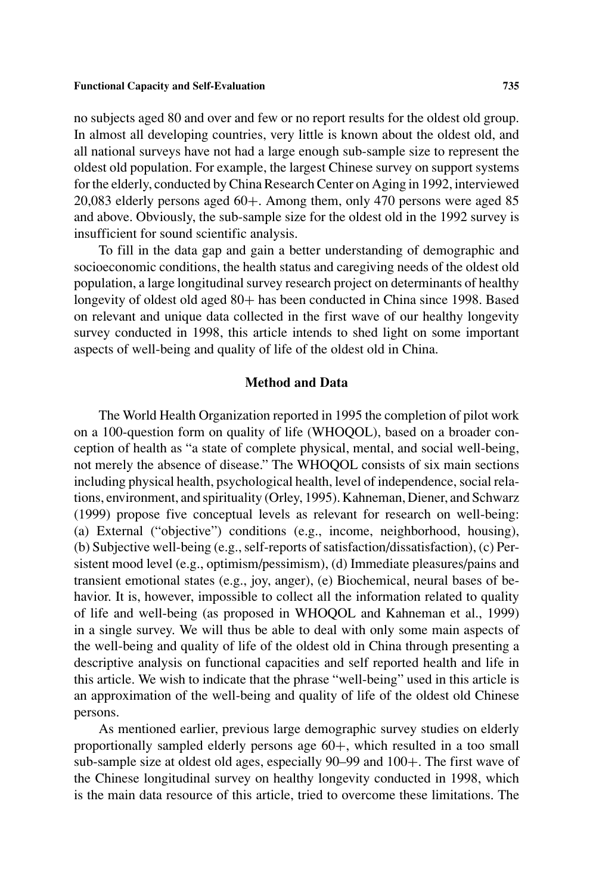no subjects aged 80 and over and few or no report results for the oldest old group. In almost all developing countries, very little is known about the oldest old, and all national surveys have not had a large enough sub-sample size to represent the oldest old population. For example, the largest Chinese survey on support systems for the elderly, conducted by China Research Center on Aging in 1992, interviewed 20,083 elderly persons aged 60+. Among them, only 470 persons were aged 85 and above. Obviously, the sub-sample size for the oldest old in the 1992 survey is insufficient for sound scientific analysis.

To fill in the data gap and gain a better understanding of demographic and socioeconomic conditions, the health status and caregiving needs of the oldest old population, a large longitudinal survey research project on determinants of healthy longevity of oldest old aged 80+ has been conducted in China since 1998. Based on relevant and unique data collected in the first wave of our healthy longevity survey conducted in 1998, this article intends to shed light on some important aspects of well-being and quality of life of the oldest old in China.

# **Method and Data**

The World Health Organization reported in 1995 the completion of pilot work on a 100-question form on quality of life (WHOQOL), based on a broader conception of health as "a state of complete physical, mental, and social well-being, not merely the absence of disease." The WHOQOL consists of six main sections including physical health, psychological health, level of independence, social relations, environment, and spirituality (Orley, 1995). Kahneman, Diener, and Schwarz (1999) propose five conceptual levels as relevant for research on well-being: (a) External ("objective") conditions (e.g., income, neighborhood, housing), (b) Subjective well-being (e.g., self-reports of satisfaction/dissatisfaction), (c) Persistent mood level (e.g., optimism/pessimism), (d) Immediate pleasures/pains and transient emotional states (e.g., joy, anger), (e) Biochemical, neural bases of behavior. It is, however, impossible to collect all the information related to quality of life and well-being (as proposed in WHOQOL and Kahneman et al., 1999) in a single survey. We will thus be able to deal with only some main aspects of the well-being and quality of life of the oldest old in China through presenting a descriptive analysis on functional capacities and self reported health and life in this article. We wish to indicate that the phrase "well-being" used in this article is an approximation of the well-being and quality of life of the oldest old Chinese persons.

As mentioned earlier, previous large demographic survey studies on elderly proportionally sampled elderly persons age 60+, which resulted in a too small sub-sample size at oldest old ages, especially 90–99 and 100+. The first wave of the Chinese longitudinal survey on healthy longevity conducted in 1998, which is the main data resource of this article, tried to overcome these limitations. The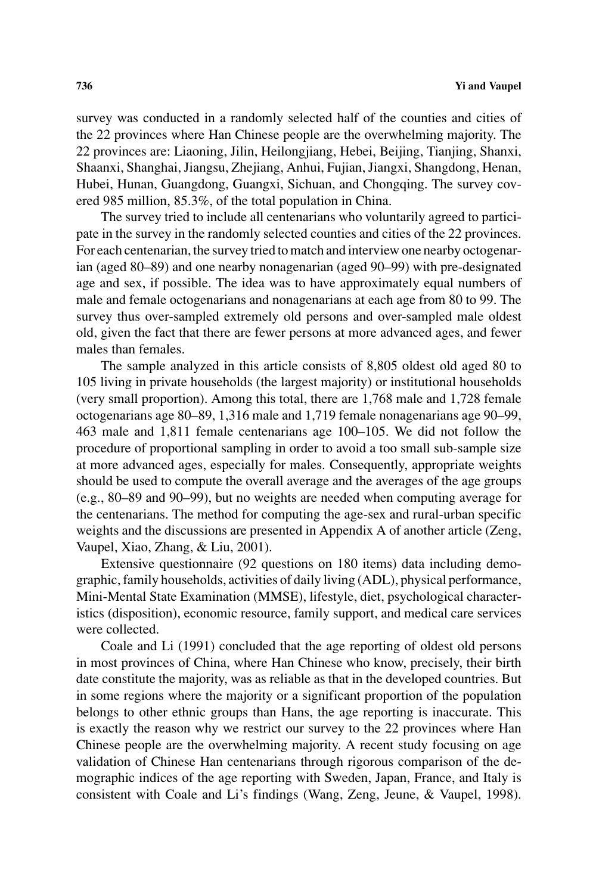survey was conducted in a randomly selected half of the counties and cities of the 22 provinces where Han Chinese people are the overwhelming majority. The 22 provinces are: Liaoning, Jilin, Heilongjiang, Hebei, Beijing, Tianjing, Shanxi, Shaanxi, Shanghai, Jiangsu, Zhejiang, Anhui, Fujian, Jiangxi, Shangdong, Henan, Hubei, Hunan, Guangdong, Guangxi, Sichuan, and Chongqing. The survey covered 985 million, 85.3%, of the total population in China.

The survey tried to include all centenarians who voluntarily agreed to participate in the survey in the randomly selected counties and cities of the 22 provinces. For each centenarian, the survey tried to match and interview one nearby octogenarian (aged 80–89) and one nearby nonagenarian (aged 90–99) with pre-designated age and sex, if possible. The idea was to have approximately equal numbers of male and female octogenarians and nonagenarians at each age from 80 to 99. The survey thus over-sampled extremely old persons and over-sampled male oldest old, given the fact that there are fewer persons at more advanced ages, and fewer males than females.

The sample analyzed in this article consists of 8,805 oldest old aged 80 to 105 living in private households (the largest majority) or institutional households (very small proportion). Among this total, there are 1,768 male and 1,728 female octogenarians age 80–89, 1,316 male and 1,719 female nonagenarians age 90–99, 463 male and 1,811 female centenarians age 100–105. We did not follow the procedure of proportional sampling in order to avoid a too small sub-sample size at more advanced ages, especially for males. Consequently, appropriate weights should be used to compute the overall average and the averages of the age groups (e.g., 80–89 and 90–99), but no weights are needed when computing average for the centenarians. The method for computing the age-sex and rural-urban specific weights and the discussions are presented in Appendix A of another article (Zeng, Vaupel, Xiao, Zhang, & Liu, 2001).

Extensive questionnaire (92 questions on 180 items) data including demographic, family households, activities of daily living (ADL), physical performance, Mini-Mental State Examination (MMSE), lifestyle, diet, psychological characteristics (disposition), economic resource, family support, and medical care services were collected.

Coale and Li (1991) concluded that the age reporting of oldest old persons in most provinces of China, where Han Chinese who know, precisely, their birth date constitute the majority, was as reliable as that in the developed countries. But in some regions where the majority or a significant proportion of the population belongs to other ethnic groups than Hans, the age reporting is inaccurate. This is exactly the reason why we restrict our survey to the 22 provinces where Han Chinese people are the overwhelming majority. A recent study focusing on age validation of Chinese Han centenarians through rigorous comparison of the demographic indices of the age reporting with Sweden, Japan, France, and Italy is consistent with Coale and Li's findings (Wang, Zeng, Jeune, & Vaupel, 1998).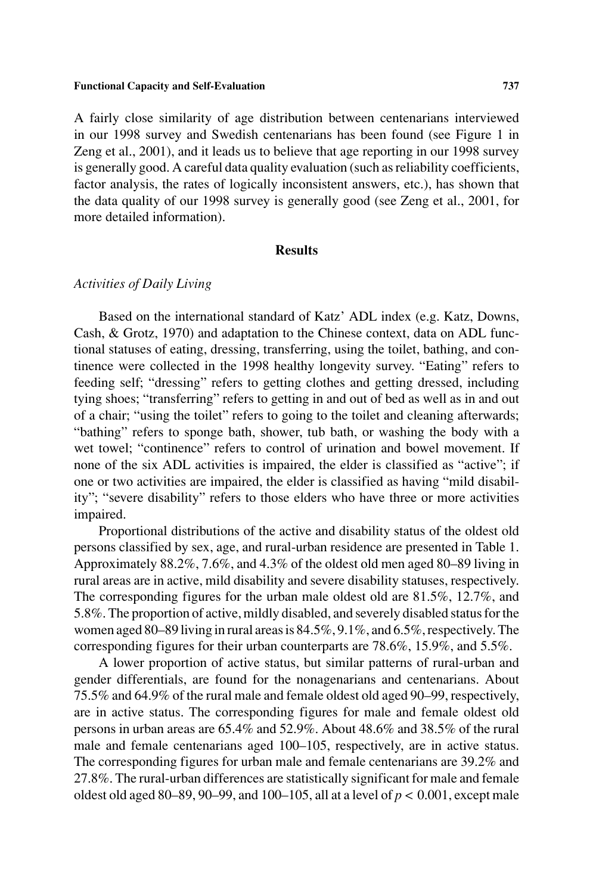A fairly close similarity of age distribution between centenarians interviewed in our 1998 survey and Swedish centenarians has been found (see Figure 1 in Zeng et al., 2001), and it leads us to believe that age reporting in our 1998 survey is generally good. A careful data quality evaluation (such as reliability coefficients, factor analysis, the rates of logically inconsistent answers, etc.), has shown that the data quality of our 1998 survey is generally good (see Zeng et al., 2001, for more detailed information).

# **Results**

## *Activities of Daily Living*

Based on the international standard of Katz' ADL index (e.g. Katz, Downs, Cash, & Grotz, 1970) and adaptation to the Chinese context, data on ADL functional statuses of eating, dressing, transferring, using the toilet, bathing, and continence were collected in the 1998 healthy longevity survey. "Eating" refers to feeding self; "dressing" refers to getting clothes and getting dressed, including tying shoes; "transferring" refers to getting in and out of bed as well as in and out of a chair; "using the toilet" refers to going to the toilet and cleaning afterwards; "bathing" refers to sponge bath, shower, tub bath, or washing the body with a wet towel; "continence" refers to control of urination and bowel movement. If none of the six ADL activities is impaired, the elder is classified as "active"; if one or two activities are impaired, the elder is classified as having "mild disability"; "severe disability" refers to those elders who have three or more activities impaired.

Proportional distributions of the active and disability status of the oldest old persons classified by sex, age, and rural-urban residence are presented in Table 1. Approximately 88.2%, 7.6%, and 4.3% of the oldest old men aged 80–89 living in rural areas are in active, mild disability and severe disability statuses, respectively. The corresponding figures for the urban male oldest old are 81.5%, 12.7%, and 5.8%. The proportion of active, mildly disabled, and severely disabled status for the women aged 80–89 living in rural areas is 84.5%, 9.1%, and 6.5%, respectively. The corresponding figures for their urban counterparts are 78.6%, 15.9%, and 5.5%.

A lower proportion of active status, but similar patterns of rural-urban and gender differentials, are found for the nonagenarians and centenarians. About 75.5% and 64.9% of the rural male and female oldest old aged 90–99, respectively, are in active status. The corresponding figures for male and female oldest old persons in urban areas are 65.4% and 52.9%. About 48.6% and 38.5% of the rural male and female centenarians aged 100–105, respectively, are in active status. The corresponding figures for urban male and female centenarians are 39.2% and 27.8%. The rural-urban differences are statistically significant for male and female oldest old aged 80–89, 90–99, and 100–105, all at a level of  $p < 0.001$ , except male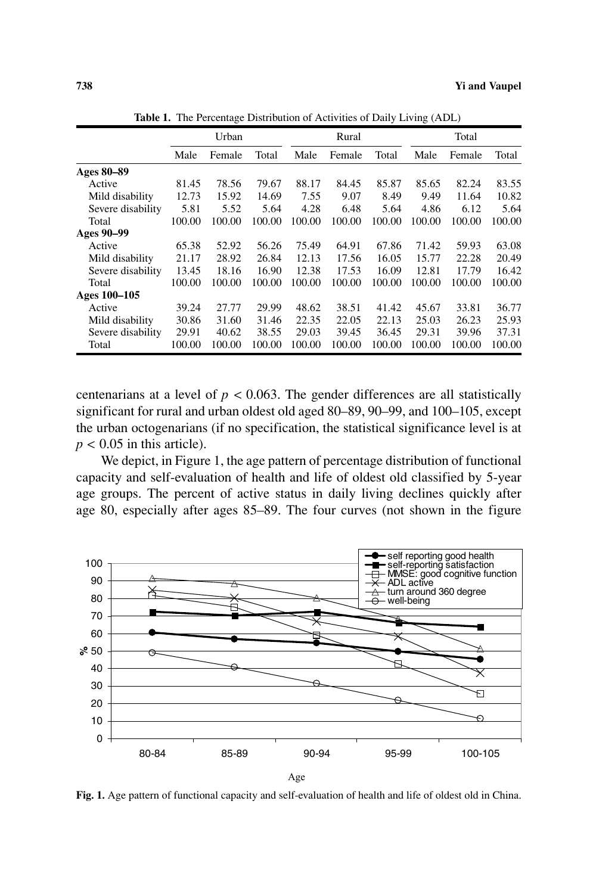|                   | Urban  |        |        | Rural  |        |        | Total  |        |        |
|-------------------|--------|--------|--------|--------|--------|--------|--------|--------|--------|
|                   | Male   | Female | Total  | Male   | Female | Total  | Male   | Female | Total  |
| Ages 80-89        |        |        |        |        |        |        |        |        |        |
| Active            | 81.45  | 78.56  | 79.67  | 88.17  | 84.45  | 85.87  | 85.65  | 82.24  | 83.55  |
| Mild disability   | 12.73  | 15.92  | 14.69  | 7.55   | 9.07   | 8.49   | 9.49   | 11.64  | 10.82  |
| Severe disability | 5.81   | 5.52   | 5.64   | 4.28   | 6.48   | 5.64   | 4.86   | 6.12   | 5.64   |
| Total             | 100.00 | 100.00 | 100.00 | 100.00 | 100.00 | 100.00 | 100.00 | 100.00 | 100.00 |
| Ages 90-99        |        |        |        |        |        |        |        |        |        |
| Active            | 65.38  | 52.92  | 56.26  | 75.49  | 64.91  | 67.86  | 71.42  | 59.93  | 63.08  |
| Mild disability   | 21.17  | 28.92  | 26.84  | 12.13  | 17.56  | 16.05  | 15.77  | 22.28  | 20.49  |
| Severe disability | 13.45  | 18.16  | 16.90  | 12.38  | 17.53  | 16.09  | 12.81  | 17.79  | 16.42  |
| Total             | 100.00 | 100.00 | 100.00 | 100.00 | 100.00 | 100.00 | 100.00 | 100.00 | 100.00 |
| Ages 100-105      |        |        |        |        |        |        |        |        |        |
| Active            | 39.24  | 27.77  | 29.99  | 48.62  | 38.51  | 41.42  | 45.67  | 33.81  | 36.77  |
| Mild disability   | 30.86  | 31.60  | 31.46  | 22.35  | 22.05  | 22.13  | 25.03  | 26.23  | 25.93  |
| Severe disability | 29.91  | 40.62  | 38.55  | 29.03  | 39.45  | 36.45  | 29.31  | 39.96  | 37.31  |
| Total             | 100.00 | 100.00 | 100.00 | 100.00 | 100.00 | 100.00 | 100.00 | 100.00 | 100.00 |

**Table 1.** The Percentage Distribution of Activities of Daily Living (ADL)

centenarians at a level of  $p < 0.063$ . The gender differences are all statistically significant for rural and urban oldest old aged 80–89, 90–99, and 100–105, except the urban octogenarians (if no specification, the statistical significance level is at  $p < 0.05$  in this article).

We depict, in Figure 1, the age pattern of percentage distribution of functional capacity and self-evaluation of health and life of oldest old classified by 5-year age groups. The percent of active status in daily living declines quickly after age 80, especially after ages 85–89. The four curves (not shown in the figure



**Fig. 1.** Age pattern of functional capacity and self-evaluation of health and life of oldest old in China.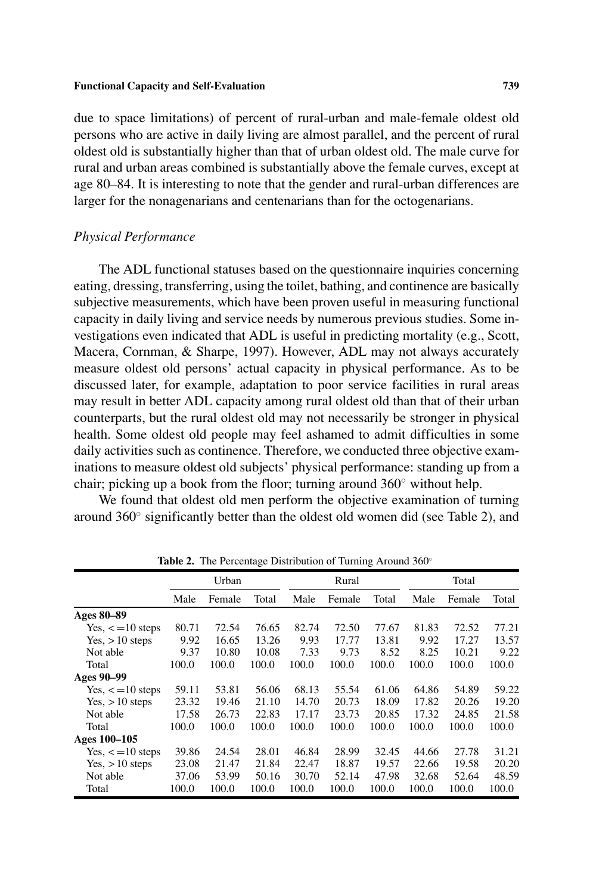due to space limitations) of percent of rural-urban and male-female oldest old persons who are active in daily living are almost parallel, and the percent of rural oldest old is substantially higher than that of urban oldest old. The male curve for rural and urban areas combined is substantially above the female curves, except at age 80–84. It is interesting to note that the gender and rural-urban differences are larger for the nonagenarians and centenarians than for the octogenarians.

# *Physical Performance*

The ADL functional statuses based on the questionnaire inquiries concerning eating, dressing, transferring, using the toilet, bathing, and continence are basically subjective measurements, which have been proven useful in measuring functional capacity in daily living and service needs by numerous previous studies. Some investigations even indicated that ADL is useful in predicting mortality (e.g., Scott, Macera, Cornman, & Sharpe, 1997). However, ADL may not always accurately measure oldest old persons' actual capacity in physical performance. As to be discussed later, for example, adaptation to poor service facilities in rural areas may result in better ADL capacity among rural oldest old than that of their urban counterparts, but the rural oldest old may not necessarily be stronger in physical health. Some oldest old people may feel ashamed to admit difficulties in some daily activities such as continence. Therefore, we conducted three objective examinations to measure oldest old subjects' physical performance: standing up from a chair; picking up a book from the floor; turning around  $360^\circ$  without help.

We found that oldest old men perform the objective examination of turning around 360◦ significantly better than the oldest old women did (see Table 2), and

| <b>Table 2.</b> The Percentage Distribution of Turning Around $360^{\circ}$ |       |        |       |       |        |       |       |        |       |  |  |
|-----------------------------------------------------------------------------|-------|--------|-------|-------|--------|-------|-------|--------|-------|--|--|
|                                                                             |       | Urban  |       | Rural |        |       | Total |        |       |  |  |
|                                                                             | Male  | Female | Total | Male  | Female | Total | Male  | Female | Total |  |  |
| Ages 80-89                                                                  |       |        |       |       |        |       |       |        |       |  |  |
| Yes, $\leq$ = 10 steps                                                      | 80.71 | 72.54  | 76.65 | 82.74 | 72.50  | 77.67 | 81.83 | 72.52  | 77.21 |  |  |
| Yes, > 10 steps                                                             | 9.92  | 16.65  | 13.26 | 9.93  | 17.77  | 13.81 | 9.92  | 17.27  | 13.57 |  |  |
| Not able                                                                    | 9.37  | 10.80  | 10.08 | 7.33  | 9.73   | 8.52  | 8.25  | 10.21  | 9.22  |  |  |
| Total                                                                       | 100.0 | 100.0  | 100.0 | 100.0 | 100.0  | 100.0 | 100.0 | 100.0  | 100.0 |  |  |
| Ages 90-99                                                                  |       |        |       |       |        |       |       |        |       |  |  |
| Yes, $\leq$ =10 steps                                                       | 59.11 | 53.81  | 56.06 | 68.13 | 55.54  | 61.06 | 64.86 | 54.89  | 59.22 |  |  |
| Yes. > 10 steps                                                             | 23.32 | 19.46  | 21.10 | 14.70 | 20.73  | 18.09 | 17.82 | 20.26  | 19.20 |  |  |
| Not able                                                                    | 17.58 | 26.73  | 22.83 | 17.17 | 23.73  | 20.85 | 17.32 | 24.85  | 21.58 |  |  |
| Total                                                                       | 100.0 | 100.0  | 100.0 | 100.0 | 100.0  | 100.0 | 100.0 | 100.0  | 100.0 |  |  |
| Ages 100-105                                                                |       |        |       |       |        |       |       |        |       |  |  |
| Yes, $\leq$ =10 steps                                                       | 39.86 | 24.54  | 28.01 | 46.84 | 28.99  | 32.45 | 44.66 | 27.78  | 31.21 |  |  |
| Yes, > 10 steps                                                             | 23.08 | 21.47  | 21.84 | 22.47 | 18.87  | 19.57 | 22.66 | 19.58  | 20.20 |  |  |
| Not able                                                                    | 37.06 | 53.99  | 50.16 | 30.70 | 52.14  | 47.98 | 32.68 | 52.64  | 48.59 |  |  |
| Total                                                                       | 100.0 | 100.0  | 100.0 | 100.0 | 100.0  | 100.0 | 100.0 | 100.0  | 100.0 |  |  |

**Table 2.** The Percentage Distribution of Turning Around 360◦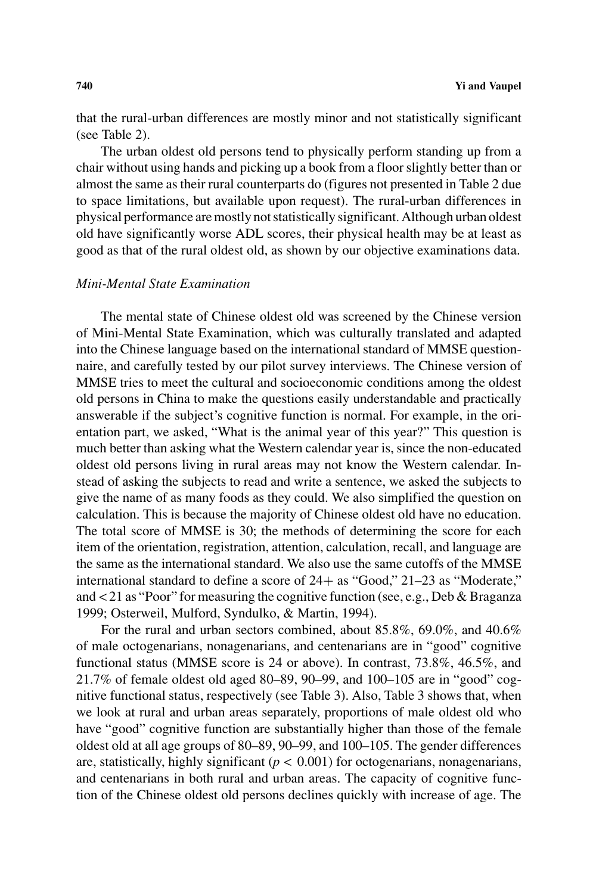that the rural-urban differences are mostly minor and not statistically significant (see Table 2).

The urban oldest old persons tend to physically perform standing up from a chair without using hands and picking up a book from a floor slightly better than or almost the same as their rural counterparts do (figures not presented in Table 2 due to space limitations, but available upon request). The rural-urban differences in physical performance are mostly not statistically significant. Although urban oldest old have significantly worse ADL scores, their physical health may be at least as good as that of the rural oldest old, as shown by our objective examinations data.

# *Mini-Mental State Examination*

The mental state of Chinese oldest old was screened by the Chinese version of Mini-Mental State Examination, which was culturally translated and adapted into the Chinese language based on the international standard of MMSE questionnaire, and carefully tested by our pilot survey interviews. The Chinese version of MMSE tries to meet the cultural and socioeconomic conditions among the oldest old persons in China to make the questions easily understandable and practically answerable if the subject's cognitive function is normal. For example, in the orientation part, we asked, "What is the animal year of this year?" This question is much better than asking what the Western calendar year is, since the non-educated oldest old persons living in rural areas may not know the Western calendar. Instead of asking the subjects to read and write a sentence, we asked the subjects to give the name of as many foods as they could. We also simplified the question on calculation. This is because the majority of Chinese oldest old have no education. The total score of MMSE is 30; the methods of determining the score for each item of the orientation, registration, attention, calculation, recall, and language are the same as the international standard. We also use the same cutoffs of the MMSE international standard to define a score of  $24+$  as "Good,"  $21-23$  as "Moderate," and *<*21 as "Poor" for measuring the cognitive function (see, e.g., Deb & Braganza 1999; Osterweil, Mulford, Syndulko, & Martin, 1994).

For the rural and urban sectors combined, about 85.8%, 69.0%, and 40.6% of male octogenarians, nonagenarians, and centenarians are in "good" cognitive functional status (MMSE score is 24 or above). In contrast, 73.8%, 46.5%, and 21.7% of female oldest old aged 80–89, 90–99, and 100–105 are in "good" cognitive functional status, respectively (see Table 3). Also, Table 3 shows that, when we look at rural and urban areas separately, proportions of male oldest old who have "good" cognitive function are substantially higher than those of the female oldest old at all age groups of 80–89, 90–99, and 100–105. The gender differences are, statistically, highly significant (*p <* 0.001) for octogenarians, nonagenarians, and centenarians in both rural and urban areas. The capacity of cognitive function of the Chinese oldest old persons declines quickly with increase of age. The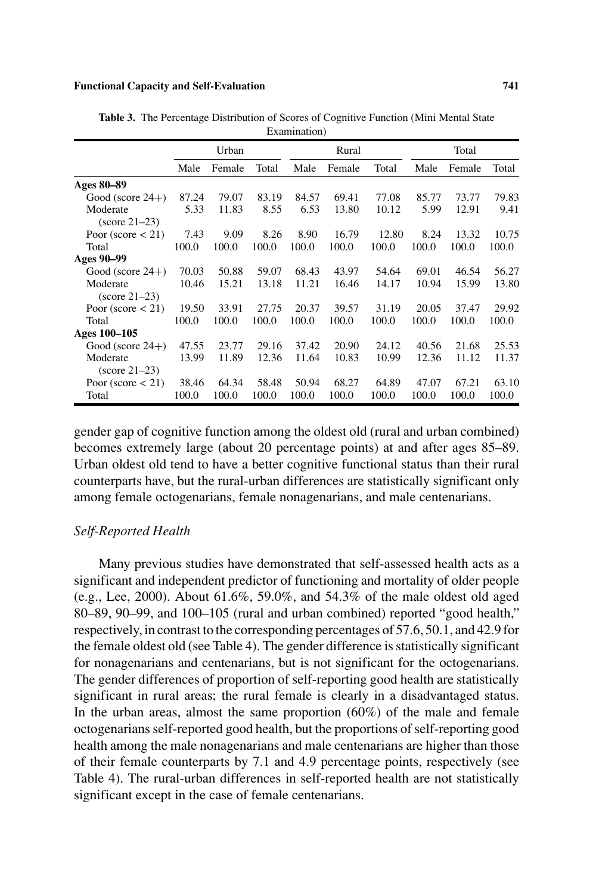|                                       | L'Administration |        |       |       |        |       |       |        |       |  |  |
|---------------------------------------|------------------|--------|-------|-------|--------|-------|-------|--------|-------|--|--|
|                                       |                  | Urban  |       | Rural |        |       | Total |        |       |  |  |
|                                       | Male             | Female | Total | Male  | Female | Total | Male  | Female | Total |  |  |
| Ages 80-89                            |                  |        |       |       |        |       |       |        |       |  |  |
| Good (score $24+$ )                   | 87.24            | 79.07  | 83.19 | 84.57 | 69.41  | 77.08 | 85.77 | 73.77  | 79.83 |  |  |
| Moderate<br>$(\text{score } 21 - 23)$ | 5.33             | 11.83  | 8.55  | 6.53  | 13.80  | 10.12 | 5.99  | 12.91  | 9.41  |  |  |
| Poor (score $<$ 21)                   | 7.43             | 9.09   | 8.26  | 8.90  | 16.79  | 12.80 | 8.24  | 13.32  | 10.75 |  |  |
| Total                                 | 100.0            | 100.0  | 100.0 | 100.0 | 100.0  | 100.0 | 100.0 | 100.0  | 100.0 |  |  |
| Ages 90-99                            |                  |        |       |       |        |       |       |        |       |  |  |
| Good (score $24+$ )                   | 70.03            | 50.88  | 59.07 | 68.43 | 43.97  | 54.64 | 69.01 | 46.54  | 56.27 |  |  |
| Moderate<br>$(score 21-23)$           | 10.46            | 15.21  | 13.18 | 11.21 | 16.46  | 14.17 | 10.94 | 15.99  | 13.80 |  |  |
| Poor (score $<$ 21)                   | 19.50            | 33.91  | 27.75 | 20.37 | 39.57  | 31.19 | 20.05 | 37.47  | 29.92 |  |  |
| Total                                 | 100.0            | 100.0  | 100.0 | 100.0 | 100.0  | 100.0 | 100.0 | 100.0  | 100.0 |  |  |
| Ages 100-105                          |                  |        |       |       |        |       |       |        |       |  |  |
| Good (score $24+$ )                   | 47.55            | 23.77  | 29.16 | 37.42 | 20.90  | 24.12 | 40.56 | 21.68  | 25.53 |  |  |
| Moderate<br>$(\text{score } 21 - 23)$ | 13.99            | 11.89  | 12.36 | 11.64 | 10.83  | 10.99 | 12.36 | 11.12  | 11.37 |  |  |
| Poor (score $<$ 21)                   | 38.46            | 64.34  | 58.48 | 50.94 | 68.27  | 64.89 | 47.07 | 67.21  | 63.10 |  |  |
| Total                                 | 100.0            | 100.0  | 100.0 | 100.0 | 100.0  | 100.0 | 100.0 | 100.0  | 100.0 |  |  |

**Table 3.** The Percentage Distribution of Scores of Cognitive Function (Mini Mental State Examination)

gender gap of cognitive function among the oldest old (rural and urban combined) becomes extremely large (about 20 percentage points) at and after ages 85–89. Urban oldest old tend to have a better cognitive functional status than their rural counterparts have, but the rural-urban differences are statistically significant only among female octogenarians, female nonagenarians, and male centenarians.

## *Self-Reported Health*

Many previous studies have demonstrated that self-assessed health acts as a significant and independent predictor of functioning and mortality of older people (e.g., Lee, 2000). About 61.6%, 59.0%, and 54.3% of the male oldest old aged 80–89, 90–99, and 100–105 (rural and urban combined) reported "good health," respectively, in contrast to the corresponding percentages of 57.6, 50.1, and 42.9 for the female oldest old (see Table 4). The gender difference is statistically significant for nonagenarians and centenarians, but is not significant for the octogenarians. The gender differences of proportion of self-reporting good health are statistically significant in rural areas; the rural female is clearly in a disadvantaged status. In the urban areas, almost the same proportion (60%) of the male and female octogenarians self-reported good health, but the proportions of self-reporting good health among the male nonagenarians and male centenarians are higher than those of their female counterparts by 7.1 and 4.9 percentage points, respectively (see Table 4). The rural-urban differences in self-reported health are not statistically significant except in the case of female centenarians.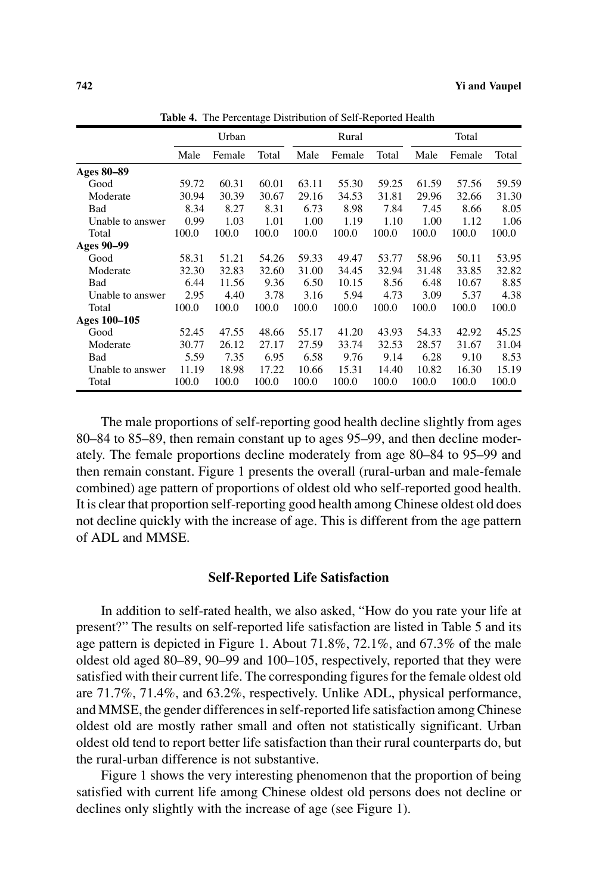|                   | Urban |        |       | Rural |        |       | Total |        |       |
|-------------------|-------|--------|-------|-------|--------|-------|-------|--------|-------|
|                   | Male  | Female | Total | Male  | Female | Total | Male  | Female | Total |
| Ages 80-89        |       |        |       |       |        |       |       |        |       |
| Good              | 59.72 | 60.31  | 60.01 | 63.11 | 55.30  | 59.25 | 61.59 | 57.56  | 59.59 |
| Moderate          | 30.94 | 30.39  | 30.67 | 29.16 | 34.53  | 31.81 | 29.96 | 32.66  | 31.30 |
| Bad               | 8.34  | 8.27   | 8.31  | 6.73  | 8.98   | 7.84  | 7.45  | 8.66   | 8.05  |
| Unable to answer  | 0.99  | 1.03   | 1.01  | 1.00  | 1.19   | 1.10  | 1.00  | 1.12   | 1.06  |
| Total             | 100.0 | 100.0  | 100.0 | 100.0 | 100.0  | 100.0 | 100.0 | 100.0  | 100.0 |
| <b>Ages 90-99</b> |       |        |       |       |        |       |       |        |       |
| Good              | 58.31 | 51.21  | 54.26 | 59.33 | 49.47  | 53.77 | 58.96 | 50.11  | 53.95 |
| Moderate          | 32.30 | 32.83  | 32.60 | 31.00 | 34.45  | 32.94 | 31.48 | 33.85  | 32.82 |
| Bad               | 6.44  | 11.56  | 9.36  | 6.50  | 10.15  | 8.56  | 6.48  | 10.67  | 8.85  |
| Unable to answer  | 2.95  | 4.40   | 3.78  | 3.16  | 5.94   | 4.73  | 3.09  | 5.37   | 4.38  |
| Total             | 100.0 | 100.0  | 100.0 | 100.0 | 100.0  | 100.0 | 100.0 | 100.0  | 100.0 |
| Ages 100-105      |       |        |       |       |        |       |       |        |       |
| Good              | 52.45 | 47.55  | 48.66 | 55.17 | 41.20  | 43.93 | 54.33 | 42.92  | 45.25 |
| Moderate          | 30.77 | 26.12  | 27.17 | 27.59 | 33.74  | 32.53 | 28.57 | 31.67  | 31.04 |
| Bad               | 5.59  | 7.35   | 6.95  | 6.58  | 9.76   | 9.14  | 6.28  | 9.10   | 8.53  |
| Unable to answer  | 11.19 | 18.98  | 17.22 | 10.66 | 15.31  | 14.40 | 10.82 | 16.30  | 15.19 |
| Total             | 100.0 | 100.0  | 100.0 | 100.0 | 100.0  | 100.0 | 100.0 | 100.0  | 100.0 |

**Table 4.** The Percentage Distribution of Self-Reported Health

The male proportions of self-reporting good health decline slightly from ages 80–84 to 85–89, then remain constant up to ages 95–99, and then decline moderately. The female proportions decline moderately from age 80–84 to 95–99 and then remain constant. Figure 1 presents the overall (rural-urban and male-female combined) age pattern of proportions of oldest old who self-reported good health. It is clear that proportion self-reporting good health among Chinese oldest old does not decline quickly with the increase of age. This is different from the age pattern of ADL and MMSE.

## **Self-Reported Life Satisfaction**

In addition to self-rated health, we also asked, "How do you rate your life at present?" The results on self-reported life satisfaction are listed in Table 5 and its age pattern is depicted in Figure 1. About 71.8%, 72.1%, and 67.3% of the male oldest old aged 80–89, 90–99 and 100–105, respectively, reported that they were satisfied with their current life. The corresponding figures for the female oldest old are 71.7%, 71.4%, and 63.2%, respectively. Unlike ADL, physical performance, and MMSE, the gender differences in self-reported life satisfaction among Chinese oldest old are mostly rather small and often not statistically significant. Urban oldest old tend to report better life satisfaction than their rural counterparts do, but the rural-urban difference is not substantive.

Figure 1 shows the very interesting phenomenon that the proportion of being satisfied with current life among Chinese oldest old persons does not decline or declines only slightly with the increase of age (see Figure 1).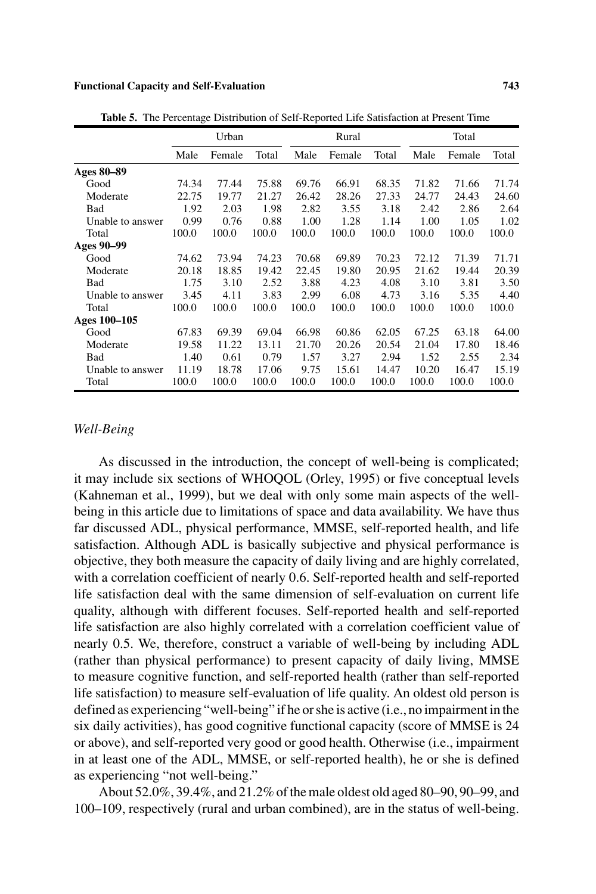|                  | Urban |        |       | Rural |        |       | Total |        |       |
|------------------|-------|--------|-------|-------|--------|-------|-------|--------|-------|
|                  | Male  | Female | Total | Male  | Female | Total | Male  | Female | Total |
| Ages 80-89       |       |        |       |       |        |       |       |        |       |
| Good             | 74.34 | 77.44  | 75.88 | 69.76 | 66.91  | 68.35 | 71.82 | 71.66  | 71.74 |
| Moderate         | 22.75 | 19.77  | 21.27 | 26.42 | 28.26  | 27.33 | 24.77 | 24.43  | 24.60 |
| Bad              | 1.92  | 2.03   | 1.98  | 2.82  | 3.55   | 3.18  | 2.42  | 2.86   | 2.64  |
| Unable to answer | 0.99  | 0.76   | 0.88  | 1.00  | 1.28   | 1.14  | 1.00  | 1.05   | 1.02  |
| Total            | 100.0 | 100.0  | 100.0 | 100.0 | 100.0  | 100.0 | 100.0 | 100.0  | 100.0 |
| Ages 90-99       |       |        |       |       |        |       |       |        |       |
| Good             | 74.62 | 73.94  | 74.23 | 70.68 | 69.89  | 70.23 | 72.12 | 71.39  | 71.71 |
| Moderate         | 20.18 | 18.85  | 19.42 | 22.45 | 19.80  | 20.95 | 21.62 | 19.44  | 20.39 |
| Bad              | 1.75  | 3.10   | 2.52  | 3.88  | 4.23   | 4.08  | 3.10  | 3.81   | 3.50  |
| Unable to answer | 3.45  | 4.11   | 3.83  | 2.99  | 6.08   | 4.73  | 3.16  | 5.35   | 4.40  |
| Total            | 100.0 | 100.0  | 100.0 | 100.0 | 100.0  | 100.0 | 100.0 | 100.0  | 100.0 |
| Ages 100-105     |       |        |       |       |        |       |       |        |       |
| Good             | 67.83 | 69.39  | 69.04 | 66.98 | 60.86  | 62.05 | 67.25 | 63.18  | 64.00 |
| Moderate         | 19.58 | 11.22  | 13.11 | 21.70 | 20.26  | 20.54 | 21.04 | 17.80  | 18.46 |
| Bad              | 1.40  | 0.61   | 0.79  | 1.57  | 3.27   | 2.94  | 1.52  | 2.55   | 2.34  |
| Unable to answer | 11.19 | 18.78  | 17.06 | 9.75  | 15.61  | 14.47 | 10.20 | 16.47  | 15.19 |
| Total            | 100.0 | 100.0  | 100.0 | 100.0 | 100.0  | 100.0 | 100.0 | 100.0  | 100.0 |

**Table 5.** The Percentage Distribution of Self-Reported Life Satisfaction at Present Time

## *Well-Being*

As discussed in the introduction, the concept of well-being is complicated; it may include six sections of WHOQOL (Orley, 1995) or five conceptual levels (Kahneman et al., 1999), but we deal with only some main aspects of the wellbeing in this article due to limitations of space and data availability. We have thus far discussed ADL, physical performance, MMSE, self-reported health, and life satisfaction. Although ADL is basically subjective and physical performance is objective, they both measure the capacity of daily living and are highly correlated, with a correlation coefficient of nearly 0.6. Self-reported health and self-reported life satisfaction deal with the same dimension of self-evaluation on current life quality, although with different focuses. Self-reported health and self-reported life satisfaction are also highly correlated with a correlation coefficient value of nearly 0.5. We, therefore, construct a variable of well-being by including ADL (rather than physical performance) to present capacity of daily living, MMSE to measure cognitive function, and self-reported health (rather than self-reported life satisfaction) to measure self-evaluation of life quality. An oldest old person is defined as experiencing "well-being" if he or she is active (i.e., no impairment in the six daily activities), has good cognitive functional capacity (score of MMSE is 24 or above), and self-reported very good or good health. Otherwise (i.e., impairment in at least one of the ADL, MMSE, or self-reported health), he or she is defined as experiencing "not well-being."

About 52.0%, 39.4%, and 21.2% of the male oldest old aged 80–90, 90–99, and 100–109, respectively (rural and urban combined), are in the status of well-being.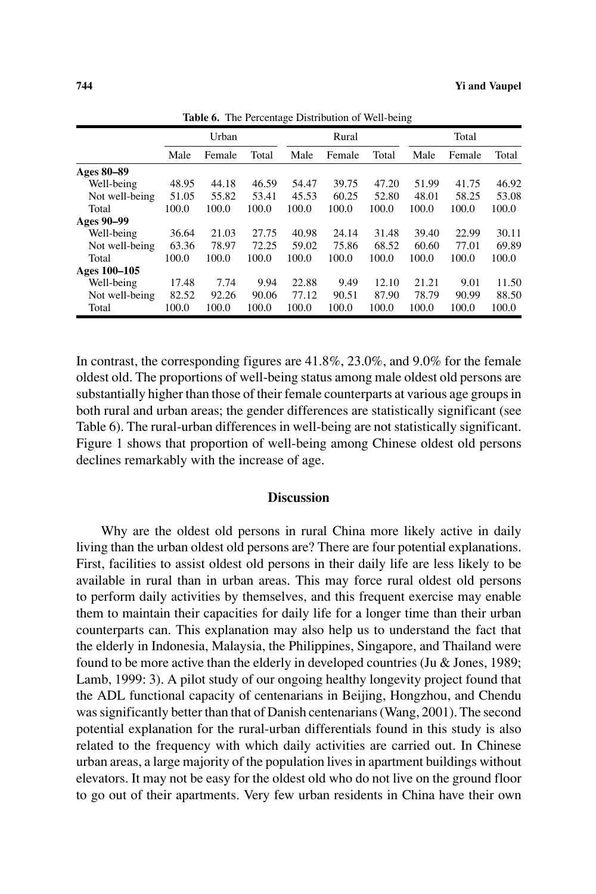|                | Urban |        |       | Rural |        |       | Total |        |       |
|----------------|-------|--------|-------|-------|--------|-------|-------|--------|-------|
|                | Male  | Female | Total | Male  | Female | Total | Male  | Female | Total |
| Ages 80-89     |       |        |       |       |        |       |       |        |       |
| Well-being     | 48.95 | 44.18  | 46.59 | 54.47 | 39.75  | 47.20 | 51.99 | 41.75  | 46.92 |
| Not well-being | 51.05 | 55.82  | 53.41 | 45.53 | 60.25  | 52.80 | 48.01 | 58.25  | 53.08 |
| Total          | 100.0 | 100.0  | 100.0 | 100.0 | 100.0  | 100.0 | 100.0 | 100.0  | 100.0 |
| Ages 90-99     |       |        |       |       |        |       |       |        |       |
| Well-being     | 36.64 | 21.03  | 27.75 | 40.98 | 24.14  | 31.48 | 39.40 | 22.99  | 30.11 |
| Not well-being | 63.36 | 78.97  | 72.25 | 59.02 | 75.86  | 68.52 | 60.60 | 77.01  | 69.89 |
| Total          | 100.0 | 100.0  | 100.0 | 100.0 | 100.0  | 100.0 | 100.0 | 100.0  | 100.0 |
| Ages 100-105   |       |        |       |       |        |       |       |        |       |
| Well-being     | 17.48 | 7.74   | 9.94  | 22.88 | 9.49   | 12.10 | 21.21 | 9.01   | 11.50 |
| Not well-being | 82.52 | 92.26  | 90.06 | 77.12 | 90.51  | 87.90 | 78.79 | 90.99  | 88.50 |
| Total          | 100.0 | 100.0  | 100.0 | 100.0 | 100.0  | 100.0 | 100.0 | 100.0  | 100.0 |

**Table 6.** The Percentage Distribution of Well-being

In contrast, the corresponding figures are 41.8%, 23.0%, and 9.0% for the female oldest old. The proportions of well-being status among male oldest old persons are substantially higher than those of their female counterparts at various age groups in both rural and urban areas; the gender differences are statistically significant (see Table 6). The rural-urban differences in well-being are not statistically significant. Figure 1 shows that proportion of well-being among Chinese oldest old persons declines remarkably with the increase of age.

## **Discussion**

Why are the oldest old persons in rural China more likely active in daily living than the urban oldest old persons are? There are four potential explanations. First, facilities to assist oldest old persons in their daily life are less likely to be available in rural than in urban areas. This may force rural oldest old persons to perform daily activities by themselves, and this frequent exercise may enable them to maintain their capacities for daily life for a longer time than their urban counterparts can. This explanation may also help us to understand the fact that the elderly in Indonesia, Malaysia, the Philippines, Singapore, and Thailand were found to be more active than the elderly in developed countries (Ju & Jones, 1989; Lamb, 1999: 3). A pilot study of our ongoing healthy longevity project found that the ADL functional capacity of centenarians in Beijing, Hongzhou, and Chendu was significantly better than that of Danish centenarians (Wang, 2001). The second potential explanation for the rural-urban differentials found in this study is also related to the frequency with which daily activities are carried out. In Chinese urban areas, a large majority of the population lives in apartment buildings without elevators. It may not be easy for the oldest old who do not live on the ground floor to go out of their apartments. Very few urban residents in China have their own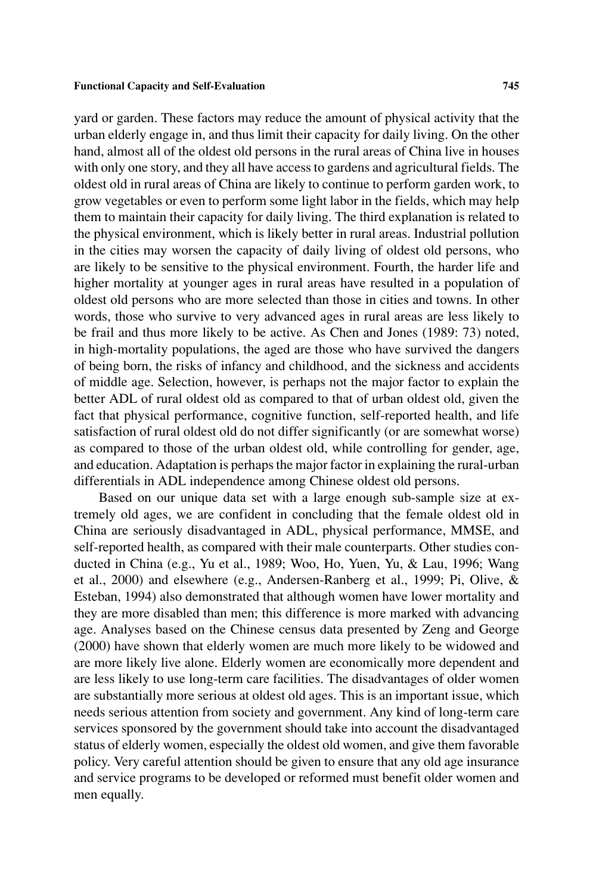yard or garden. These factors may reduce the amount of physical activity that the urban elderly engage in, and thus limit their capacity for daily living. On the other hand, almost all of the oldest old persons in the rural areas of China live in houses with only one story, and they all have access to gardens and agricultural fields. The oldest old in rural areas of China are likely to continue to perform garden work, to grow vegetables or even to perform some light labor in the fields, which may help them to maintain their capacity for daily living. The third explanation is related to the physical environment, which is likely better in rural areas. Industrial pollution in the cities may worsen the capacity of daily living of oldest old persons, who are likely to be sensitive to the physical environment. Fourth, the harder life and higher mortality at younger ages in rural areas have resulted in a population of oldest old persons who are more selected than those in cities and towns. In other words, those who survive to very advanced ages in rural areas are less likely to be frail and thus more likely to be active. As Chen and Jones (1989: 73) noted, in high-mortality populations, the aged are those who have survived the dangers of being born, the risks of infancy and childhood, and the sickness and accidents of middle age. Selection, however, is perhaps not the major factor to explain the better ADL of rural oldest old as compared to that of urban oldest old, given the fact that physical performance, cognitive function, self-reported health, and life satisfaction of rural oldest old do not differ significantly (or are somewhat worse) as compared to those of the urban oldest old, while controlling for gender, age, and education. Adaptation is perhaps the major factor in explaining the rural-urban differentials in ADL independence among Chinese oldest old persons.

Based on our unique data set with a large enough sub-sample size at extremely old ages, we are confident in concluding that the female oldest old in China are seriously disadvantaged in ADL, physical performance, MMSE, and self-reported health, as compared with their male counterparts. Other studies conducted in China (e.g., Yu et al., 1989; Woo, Ho, Yuen, Yu, & Lau, 1996; Wang et al., 2000) and elsewhere (e.g., Andersen-Ranberg et al., 1999; Pi, Olive, & Esteban, 1994) also demonstrated that although women have lower mortality and they are more disabled than men; this difference is more marked with advancing age. Analyses based on the Chinese census data presented by Zeng and George (2000) have shown that elderly women are much more likely to be widowed and are more likely live alone. Elderly women are economically more dependent and are less likely to use long-term care facilities. The disadvantages of older women are substantially more serious at oldest old ages. This is an important issue, which needs serious attention from society and government. Any kind of long-term care services sponsored by the government should take into account the disadvantaged status of elderly women, especially the oldest old women, and give them favorable policy. Very careful attention should be given to ensure that any old age insurance and service programs to be developed or reformed must benefit older women and men equally.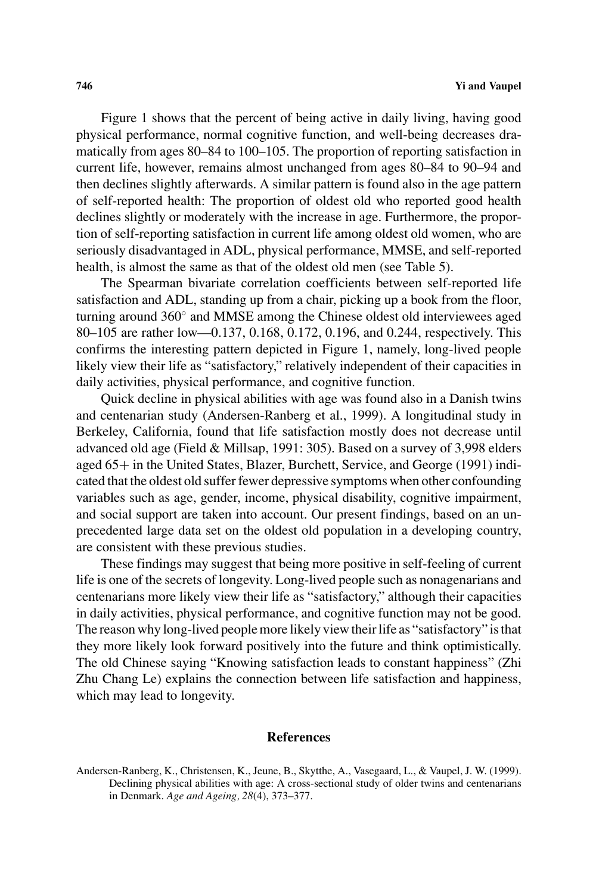Figure 1 shows that the percent of being active in daily living, having good physical performance, normal cognitive function, and well-being decreases dramatically from ages 80–84 to 100–105. The proportion of reporting satisfaction in current life, however, remains almost unchanged from ages 80–84 to 90–94 and then declines slightly afterwards. A similar pattern is found also in the age pattern of self-reported health: The proportion of oldest old who reported good health declines slightly or moderately with the increase in age. Furthermore, the proportion of self-reporting satisfaction in current life among oldest old women, who are seriously disadvantaged in ADL, physical performance, MMSE, and self-reported health, is almost the same as that of the oldest old men (see Table 5).

The Spearman bivariate correlation coefficients between self-reported life satisfaction and ADL, standing up from a chair, picking up a book from the floor, turning around 360◦ and MMSE among the Chinese oldest old interviewees aged 80–105 are rather low—0.137, 0.168, 0.172, 0.196, and 0.244, respectively. This confirms the interesting pattern depicted in Figure 1, namely, long-lived people likely view their life as "satisfactory," relatively independent of their capacities in daily activities, physical performance, and cognitive function.

Quick decline in physical abilities with age was found also in a Danish twins and centenarian study (Andersen-Ranberg et al., 1999). A longitudinal study in Berkeley, California, found that life satisfaction mostly does not decrease until advanced old age (Field & Millsap, 1991: 305). Based on a survey of 3,998 elders aged 65+ in the United States, Blazer, Burchett, Service, and George (1991) indicated that the oldest old suffer fewer depressive symptoms when other confounding variables such as age, gender, income, physical disability, cognitive impairment, and social support are taken into account. Our present findings, based on an unprecedented large data set on the oldest old population in a developing country, are consistent with these previous studies.

These findings may suggest that being more positive in self-feeling of current life is one of the secrets of longevity. Long-lived people such as nonagenarians and centenarians more likely view their life as "satisfactory," although their capacities in daily activities, physical performance, and cognitive function may not be good. The reason why long-lived people more likely view their life as "satisfactory" is that they more likely look forward positively into the future and think optimistically. The old Chinese saying "Knowing satisfaction leads to constant happiness" (Zhi Zhu Chang Le) explains the connection between life satisfaction and happiness, which may lead to longevity.

## **References**

Andersen-Ranberg, K., Christensen, K., Jeune, B., Skytthe, A., Vasegaard, L., & Vaupel, J. W. (1999). Declining physical abilities with age: A cross-sectional study of older twins and centenarians in Denmark. *Age and Ageing, 28*(4), 373–377.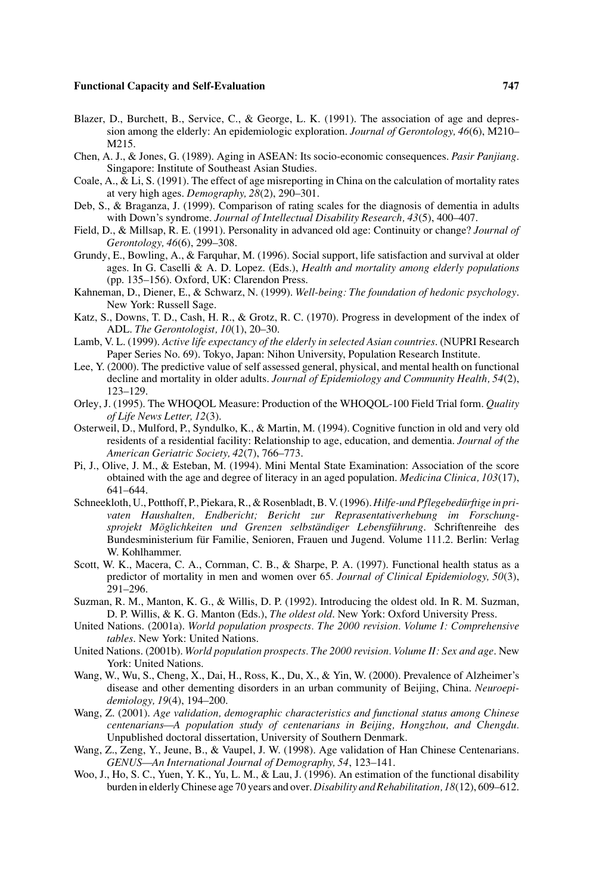- Blazer, D., Burchett, B., Service, C., & George, L. K. (1991). The association of age and depression among the elderly: An epidemiologic exploration. *Journal of Gerontology, 46*(6), M210– M215.
- Chen, A. J., & Jones, G. (1989). Aging in ASEAN: Its socio-economic consequences. *Pasir Panjiang*. Singapore: Institute of Southeast Asian Studies.
- Coale, A.,  $\&$  Li, S. (1991). The effect of age misreporting in China on the calculation of mortality rates at very high ages. *Demography, 28*(2), 290–301.
- Deb, S., & Braganza, J. (1999). Comparison of rating scales for the diagnosis of dementia in adults with Down's syndrome. *Journal of Intellectual Disability Research, 43*(5), 400–407.
- Field, D., & Millsap, R. E. (1991). Personality in advanced old age: Continuity or change? *Journal of Gerontology, 46*(6), 299–308.
- Grundy, E., Bowling, A., & Farquhar, M. (1996). Social support, life satisfaction and survival at older ages. In G. Caselli & A. D. Lopez. (Eds.), *Health and mortality among elderly populations* (pp. 135–156). Oxford, UK: Clarendon Press.
- Kahneman, D., Diener, E., & Schwarz, N. (1999). *Well-being: The foundation of hedonic psychology*. New York: Russell Sage.
- Katz, S., Downs, T. D., Cash, H. R., & Grotz, R. C. (1970). Progress in development of the index of ADL. *The Gerontologist, 10*(1), 20–30.
- Lamb, V. L. (1999). *Active life expectancy of the elderly in selected Asian countries*. (NUPRI Research Paper Series No. 69). Tokyo, Japan: Nihon University, Population Research Institute.
- Lee, Y. (2000). The predictive value of self assessed general, physical, and mental health on functional decline and mortality in older adults. *Journal of Epidemiology and Community Health, 54*(2), 123–129.
- Orley, J. (1995). The WHOQOL Measure: Production of the WHOQOL-100 Field Trial form. *Quality of Life News Letter, 12*(3).
- Osterweil, D., Mulford, P., Syndulko, K., & Martin, M. (1994). Cognitive function in old and very old residents of a residential facility: Relationship to age, education, and dementia. *Journal of the American Geriatric Society, 42*(7), 766–773.
- Pi, J., Olive, J. M., & Esteban, M. (1994). Mini Mental State Examination: Association of the score obtained with the age and degree of literacy in an aged population. *Medicina Clinica, 103*(17), 641–644.
- Schneekloth, U., Potthoff, P., Piekara, R., & Rosenbladt, B. V. (1996). *Hilfe-und Pflegebedurftige in pri- ¨ vaten Haushalten, Endbericht; Bericht zur Reprasentativerhebung im Forschungsprojekt Moglichkeiten und Grenzen selbst ¨ andiger Lebensf ¨ uhrung ¨* . Schriftenreihe des Bundesministerium für Familie, Senioren, Frauen und Jugend. Volume 111.2. Berlin: Verlag W. Kohlhammer.
- Scott, W. K., Macera, C. A., Cornman, C. B., & Sharpe, P. A. (1997). Functional health status as a predictor of mortality in men and women over 65*. Journal of Clinical Epidemiology, 50*(3), 291–296.
- Suzman, R. M., Manton, K. G., & Willis, D. P. (1992). Introducing the oldest old. In R. M. Suzman, D. P. Willis, & K. G. Manton (Eds.), *The oldest old*. New York: Oxford University Press.
- United Nations. (2001a). *World population prospects. The 2000 revision. Volume I: Comprehensive tables*. New York: United Nations.
- United Nations. (2001b). *World population prospects. The 2000 revision. Volume II: Sex and age*. New York: United Nations.
- Wang, W., Wu, S., Cheng, X., Dai, H., Ross, K., Du, X., & Yin, W. (2000). Prevalence of Alzheimer's disease and other dementing disorders in an urban community of Beijing, China. *Neuroepidemiology, 19*(4), 194–200.
- Wang, Z. (2001). *Age validation, demographic characteristics and functional status among Chinese centenarians—A population study of centenarians in Beijing, Hongzhou, and Chengdu.* Unpublished doctoral dissertation, University of Southern Denmark.
- Wang, Z., Zeng, Y., Jeune, B., & Vaupel, J. W. (1998). Age validation of Han Chinese Centenarians. *GENUS—An International Journal of Demography, 54*, 123–141.
- Woo, J., Ho, S. C., Yuen, Y. K., Yu, L. M., & Lau, J. (1996). An estimation of the functional disability burden in elderly Chinese age 70 years and over. *Disability and Rehabilitation, 18*(12), 609–612.